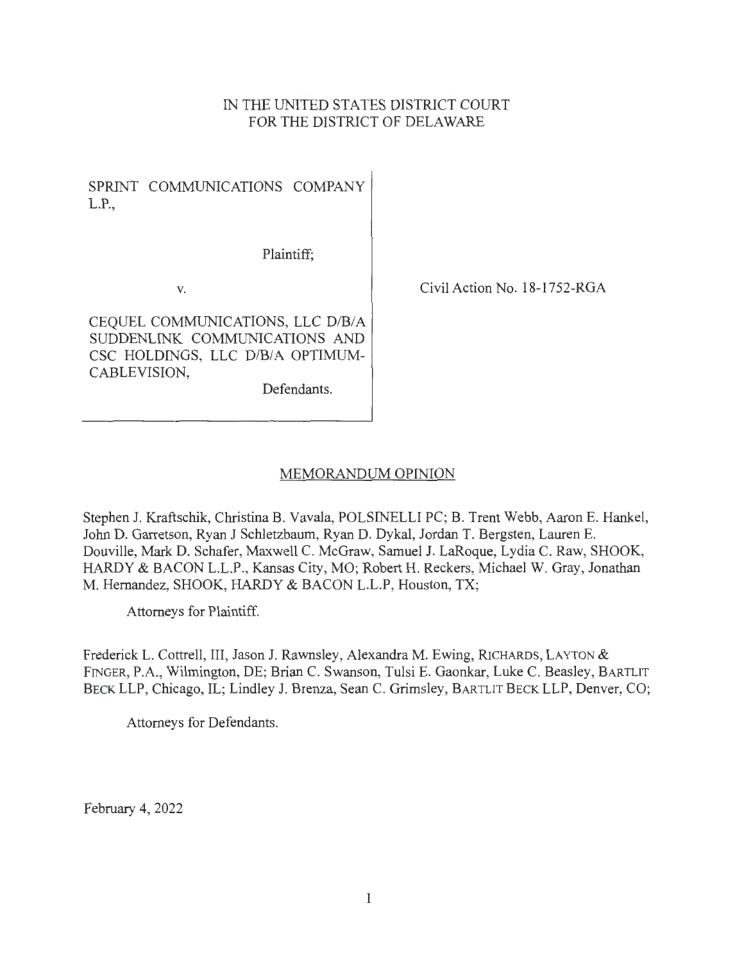# IN THE UNITED STATES DISTRICT COURT FOR THE DISTRICT OF DELAWARE

SPRINT COMMUNICATIONS COMPANY L.P.,

Plaintiff;

V.

CEQUEL COMMUNICATIONS, LLC D/B/A SUDDENLINK COMMUNICATIONS AND CSC HOLDINGS, LLC D/B/A OPTIMUM-CABLEVISION,

Defendants.

Civil Action No. 18-1752-RGA

# MEMORANDUM OPINION

Stephen J. Kraftschik, Christina B. Vavala, POLSINELLI PC; B. Trent Webb, Aaron E. Hankel, John D. Garretson, Ryan J Schletzbaum, Ryan D. Dykal, Jordan T. Bergsten, Lauren E. Douville, Mark D. Schafer, Maxwell C. McGraw, Samuel J. LaRoque, Lydia C. Raw, SHOOK, HARDY & BACON L.L.P., Kansas City, MO; Robert H. Reckers, Michael W. Gray, Jonathan M. Hernandez, SHOOK, HARDY & BACON L.L.P, Houston, TX;

Attorneys for Plaintiff.

Frederick L. Cottrell, III, Jason J. Rawnsley, Alexandra M. Ewing, RICHARDS, LAYTON & FINGER, P.A., Wilmington, DE; Brian C. Swanson, Tulsi E. Gaonkar, Luke C. Beasley, BARTLIT BECK LLP, Chicago, IL; Lindley J. Brenza, Sean C. Grimsley, BARTLIT BECK LLP, Denver, CO;

Attorneys for Defendants.

February 4, 2022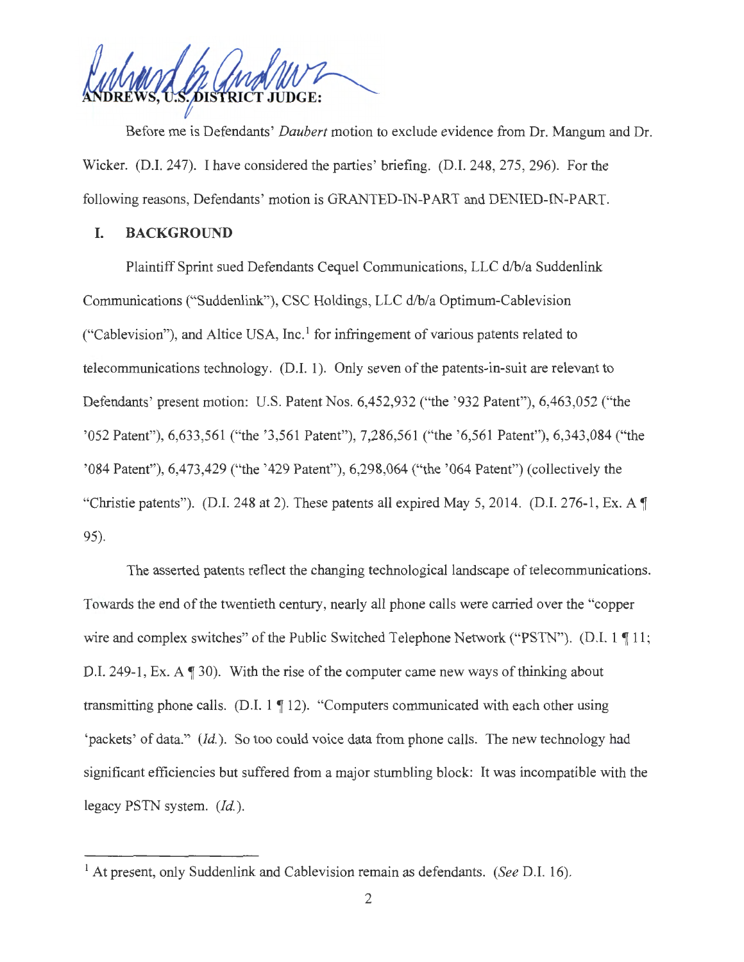DISTRICT JUDGE:

Before me is Defendants' *Daubert* motion to exclude evidence from Dr. Mangum and Dr. Wicker. (D.I. 247). I have considered the parties' briefing. (D.I. 248, 275, 296). For the following reasons, Defendants' motion is GRANTED-IN-PART and DENIED-IN-PART.

### I. **BACKGROUND**

Plaintiff Sprint sued Defendants Cequel Communications, LLC d/b/a Suddenlink Communications ("Suddenlink"), CSC Holdings, LLC d/b/a Optimum-Cablevision ("Cablevision"), and Altice USA, Inc. $<sup>1</sup>$  for infringement of various patents related to</sup> telecommunications technology. (D.I. 1). Only seven of the patents-in-suit are relevant to Defendants' present motion: U.S. Patent Nos. 6,452,932 ("the '932 Patent"), 6,463,052 ("the '052 Patent''), 6,633,561 ("the '3,561 Patent"), 7,286,561 ("the '6,561 Patent"), 6,343,084 ("the '084 Patent"), 6,473,429 ("the '429 Patent"), 6,298,064 ("the ' 064 Patent") (collectively the "Christie patents"). (D.I. 248 at 2). These patents all expired May 5, 2014. (D.I. 276-1, Ex. A  $\P$ 95).

The asserted patents reflect the changing technological landscape of telecommunications. Towards the end of the twentieth century, nearly all phone calls were carried over the "copper wire and complex switches" of the Public Switched Telephone Network ("PSTN"). (D.I.  $1 \nparallel 11$ ; D.I. 249-1, Ex. A  $\P$  30). With the rise of the computer came new ways of thinking about transmitting phone calls. (D.I.  $1 \nvert 12$ ). "Computers communicated with each other using 'packets' of data." *(Id ).* So too could voice data from phone calls. The new technology had significant efficiencies but suffered from a major stumbling block: It was incompatible with the legacy PSTN system. *(Id).* 

<sup>1</sup> At present, only Suddenlink and Cablevision remain as defendants. *(See* D.I. 16).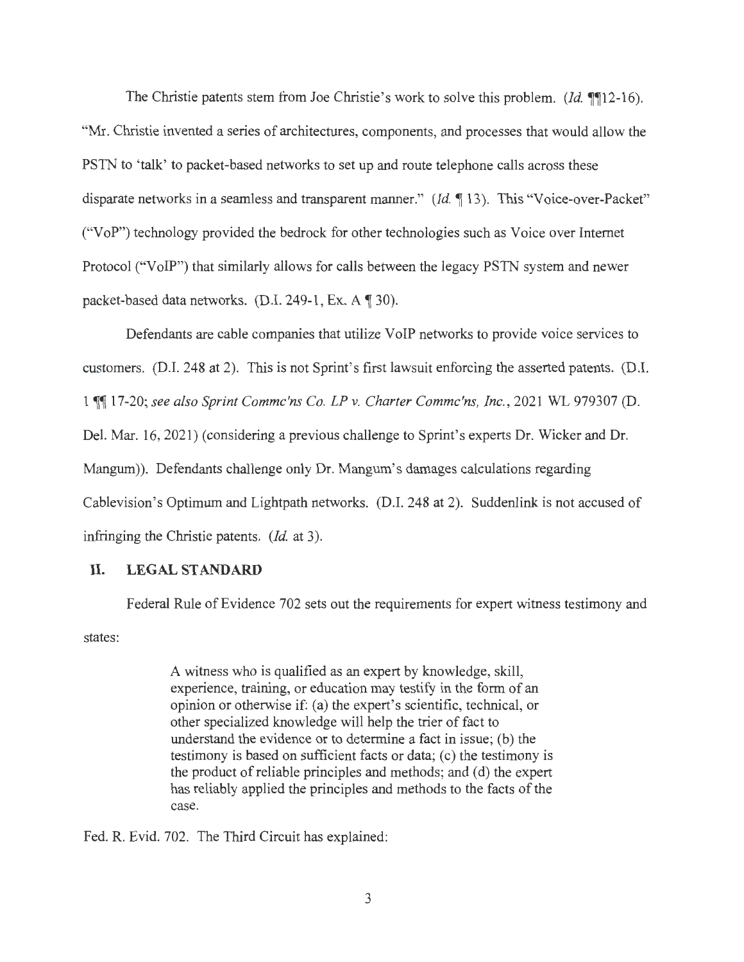The Christie patents stem from Joe Christie's work to solve this problem. *(Id.* **11**2-16). "Mr. Christie invented a series of architectures, components, and processes that would allow the PSTN to 'talk' to packet-based networks to set up and route telephone calls across these disparate networks in a seamless and transparent manner." (Id. 13). This "Voice-over-Packet" ("VoP") technology provided the bedrock for other technologies such as Voice over Internet Protocol ("VoIP") that similarly allows for calls between the legacy PSTN system and newer packet-based data networks. (D.I. 249-1, Ex. A 130).

Defendants are cable companies that utilize VoIP networks to provide voice services to customers. (D.I. 248 at 2). This is not Sprint's first lawsuit enforcing the asserted patents. (D.I. 1  $\P$  17-20; see also Sprint Commc'ns Co. LP v. Charter Commc'ns, Inc., 2021 WL 979307 (D. Del. Mar. 16, 2021) (considering a previous challenge to Sprint's experts Dr. Wicker and Dr. Mangum)). Defendants challenge only Dr. Mangum's damages calculations regarding Cablevision's Optimum and Lightpath networks. (D.I. 248 at 2). Suddenlink is not accused of infringing the Christie patents. *(Id.* at 3).

# **II. LEGAL STANDARD**

states: Federal Rule of Evidence 702 sets out the requirements for expert witness testimony and

> A witness who is qualified as an expert by knowledge, skill, experience, training, or education may testify in the form of an opinion or otherwise if: (a) the expert's scientific, technical, or other specialized knowledge will help the trier of fact to understand the evidence or to determine a fact in issue; (b) the testimony is based on sufficient facts or data; (c) the testimony is the product of reliable principles and methods; and (d) the expert has reliably applied the principles and methods to the facts of the case.

Fed. R. Evid. 702. The Third Circuit has explained: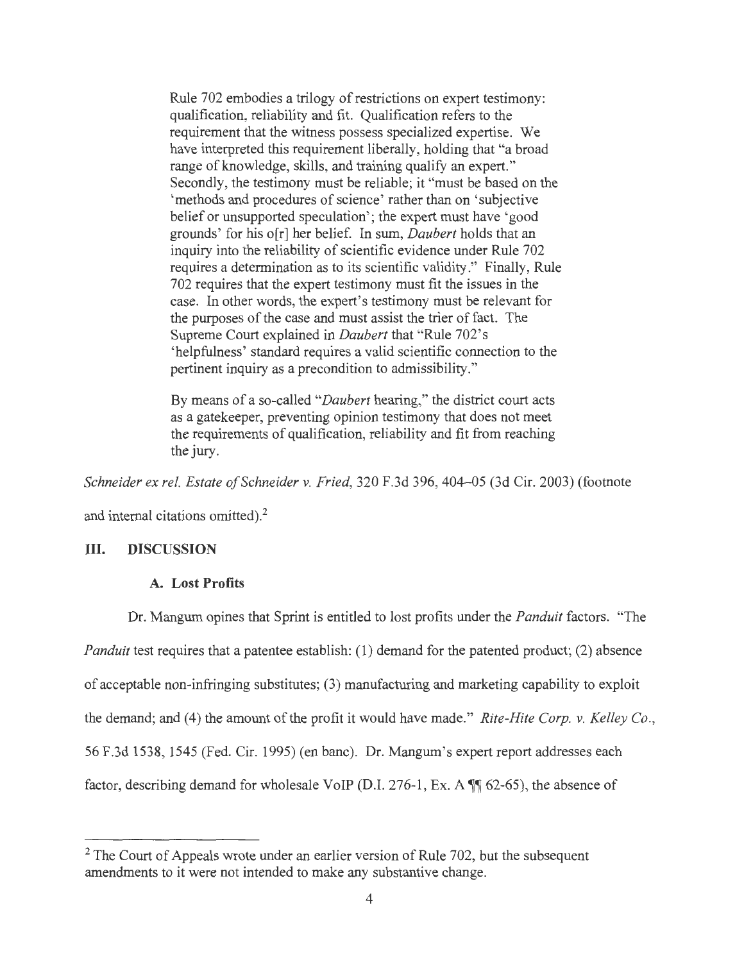Rule 702 embodies a trilogy of restrictions on expert testimony: qualification, reliability and fit. Qualification refers to the requirement that the witness possess specialized expertise. We have interpreted this requirement liberally, holding that "a broad range of knowledge, skills, and training qualify an expert." Secondly, the testimony must be reliable; it "must be based on the 'methods and procedures of science' rather than on 'subjective belief or unsupported speculation'; the expert must have 'good grounds' for his o[r] her belief. In sum, *Daubert* holds that an inquiry into the reliability of scientific evidence under Rule 702 requires a determination as to its scientific validity." Finally, Rule 702 requires that the expert testimony must fit the issues in the case. In other words, the expert's testimony must be relevant for the purposes of the case and must assist the trier of fact. The Supreme Court explained in *Daubert* that "Rule 702's 'helpfulness' standard requires a valid scientific connection to the pertinent inquiry as a precondition to admissibility."

By means of a so-called *"Daubert* hearing," the district court acts as a gatekeeper, preventing opinion testimony that does not meet the requirements of qualification, reliability and fit from reaching the jury.

*Schneider ex rel. Estate of Schneider v. Fried,* 320 F.3d 396, 404-05 (3d Cir. 2003) (footnote

and internal citations omitted).<sup>2</sup>

### III. **DISCUSSION**

### **A. Lost Profits**

Dr. Mangum opines that Sprint is entitled to lost profits under the *Panduit* factors. "The *Panduit* test requires that a patentee establish: (1) demand for the patented product; (2) absence of acceptable non-infringing substitutes; (3) manufacturing and marketing capability to exploit the demand; and (4) the amount of the profit it would have made." *Rite-Hite Corp. v. Kelley Co. ,*  56 F.3d 1538, 1545 (Fed. Cir. 1995) (en bane). Dr. Mangum's expert report addresses each factor, describing demand for wholesale VoIP (D.I. 276-1, Ex. A  $\mathbb{I}$  62-65), the absence of

<sup>&</sup>lt;sup>2</sup> The Court of Appeals wrote under an earlier version of Rule 702, but the subsequent amendments to it were not intended to make any substantive change.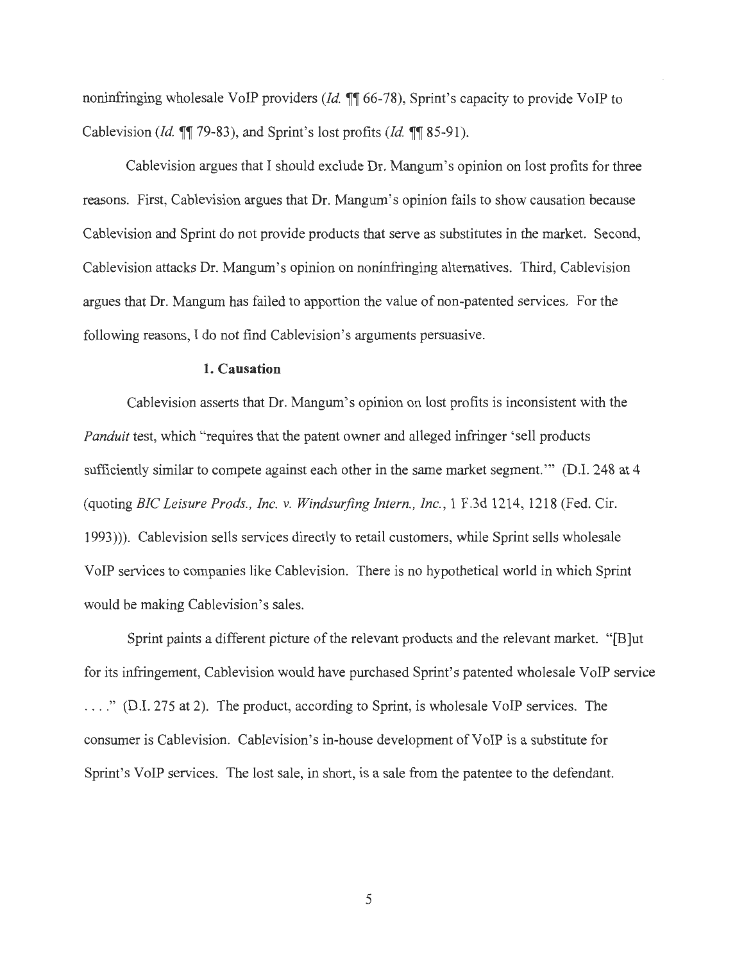noninfringing wholesale VoIP providers *(Id.*  $\P$  66-78), Sprint's capacity to provide VoIP to Cablevision *(Id.*  $\P$ <sup>*,*</sup> 79-83), and Sprint's lost profits *(Id.*  $\P$ <sup></sup> 85-91).

Cablevision argues that I should exclude Dr. Mangum's opinion on lost profits for three reasons. First, Cablevision argues that Dr. Mangum's opinion fails to show causation because Cablevision and Sprint do not provide products that serve as substitutes in the market. Second, Cablevision attacks Dr. Mangum's opinion on noninfringing alternatives. Third, Cablevision argues that Dr. Mangum has failed to apportion the value of non-patented services. For the following reasons, I do not find Cablevision's arguments persuasive.

## **1. Causation**

Cablevision asserts that Dr. Mangum's opinion on lost profits is inconsistent with the *Panduit* test, which "requires that the patent owner and alleged infringer 'sell products sufficiently similar to compete against each other in the same market segment."" (D.I. 248 at 4 (quoting *BIC Leisure Prods. , Inc. v. Windsurfing Intern. , Inc. ,* 1 F.3d 1214, 1218 (Fed. Cir. 1993))). Cablevision sells services directly to retail customers, while Sprint sells wholesale VoIP services to companies like Cablevision. There is no hypothetical world in which Sprint would be making Cablevision's sales.

Sprint paints a different picture of the relevant products and the relevant market. " [B]ut for its infringement, Cablevision would have purchased Sprint's patented wholesale VoIP service . .. . " (D.I. 275 at 2). The product, according to Sprint, is wholesale VoIP services. The consumer is Cablevision. Cablevision's in-house development of VoIP is a substitute for Sprint's VoIP services. The lost sale, in short, is a sale from the patentee to the defendant.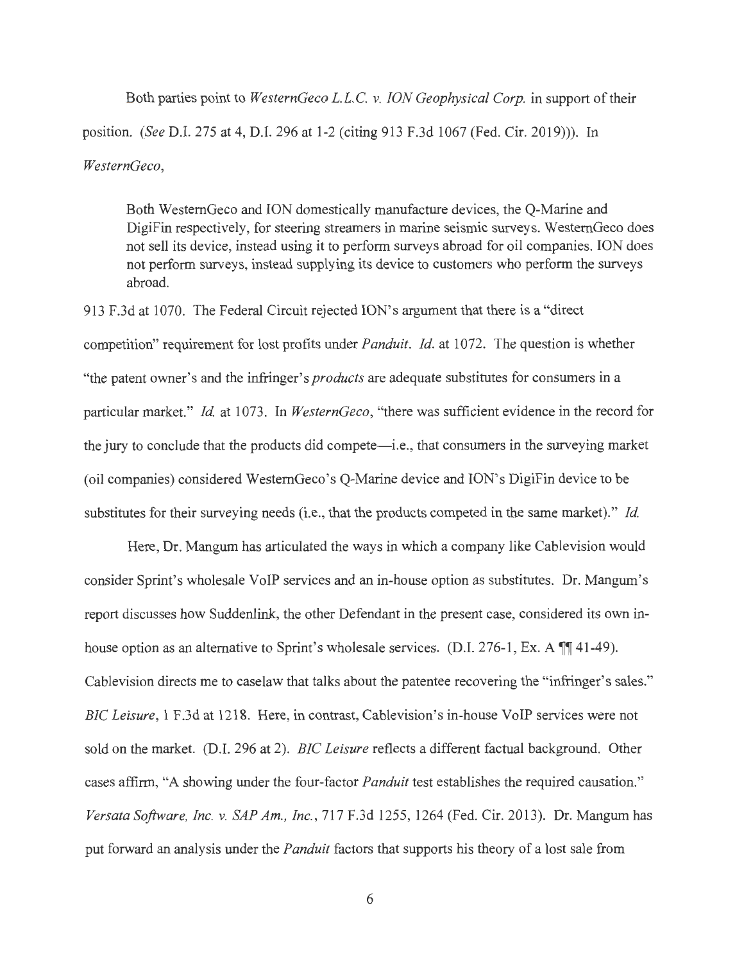Both parties point to *WesternGeco L.L.C. v. ION Geophysical Corp.* in support of their position. *(See* D.I. 275 at 4, D.I. 296 at 1-2 (citing 913 F.3d 1067 (Fed. Cir. 2019))). In *WesternGeco,* 

Both WestemGeco and ION domestically manufacture devices, the Q-Marine and DigiFin respectively, for steering streamers in marine seismic surveys. WestemGeco does not sell its device, instead using it to perform surveys abroad for oil companies. ION does not perform surveys, instead supplying its device to customers who perform the surveys abroad.

913 F.3d at 1070. The Federal Circuit rejected ION's argument that there is a "direct competition" requirement for lost profits under *Panduit. Id.* at 1072. The question is whether "the patent owner's and the infringer's *products* are adequate substitutes for consumers in a particular market." *Id.* at 1073. In *WesternGeco*, "there was sufficient evidence in the record for the jury to conclude that the products did compete—i.e., that consumers in the surveying market (oil companies) considered WestemGeco's Q-Marine device and ION's DigiFin device to be substitutes for their surveying needs (i.e., that the products competed in the same market)." *Id* 

Here, Dr. Mangum has articulated the ways in which a company like Cablevision would consider Sprint's wholesale VoIP services and an in-house option as substitutes. Dr. Mangum's report discusses how Suddenlink, the other Defendant in the present case, considered its own inhouse option as an alternative to Sprint's wholesale services. (D.I. 276-1, Ex. A  $\P$  41-49). Cablevision directs me to caselaw that talks about the patentee recovering the "infringer's sales." *BIC Leisure,* 1 F.3d at 1218. Here, in contrast, Cablevision's in-house VoIP services were not sold on the market. (D.I. 296 at 2). *BIC Leisure* reflects a different factual background. Other cases affirm, "A showing under the four-factor *Panduit* test establishes the required causation." *Versata Software, Inc. v. SAP Am., Inc. ,* 717 F.3d 1255, 1264 (Fed. Cir. 2013). Dr. Mangum has put forward an analysis under the *Panduit* factors that supports his theory of a lost sale from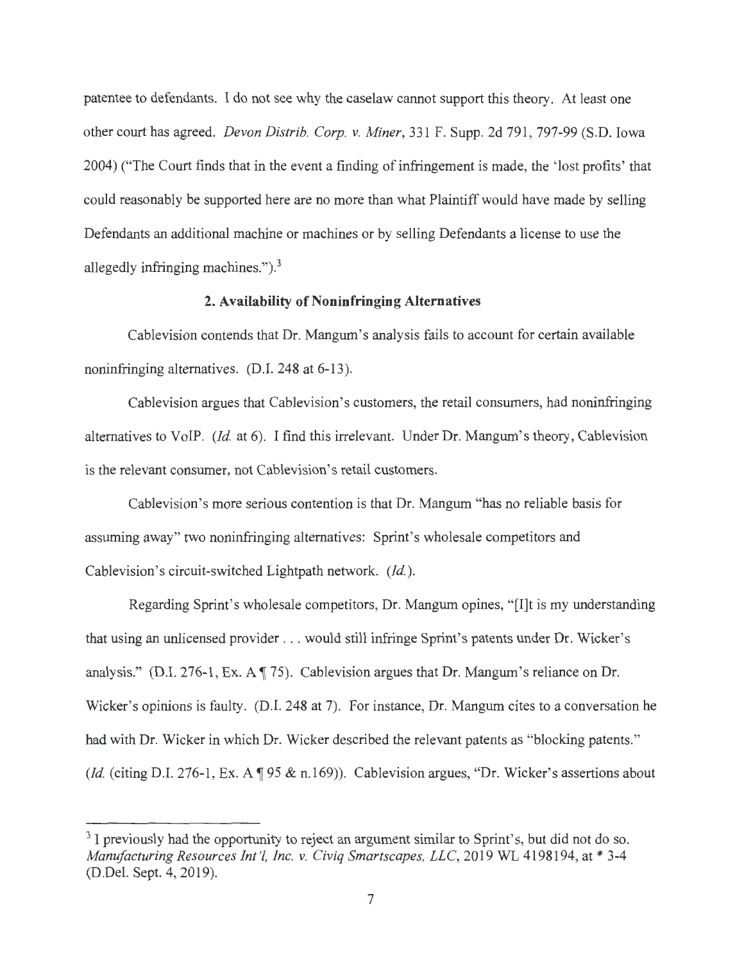patentee to defendants. I do not see why the caselaw cannot support this theory. At least one other court has agreed. *Devon Distrib. Corp. v. Miner,* 331 F. Supp. 2d 791 , 797-99 (S.D. Iowa 2004) ("The Court finds that in the event a finding of infringement is made, the 'lost profits' that could reasonably be supported here are no more than what Plaintiff would have made by selling Defendants an additional machine or machines or by selling Defendants a license to use the allegedly infringing machines.").<sup>3</sup>

### **2. Availability of Noninfringing Alternatives**

Cablevision contends that Dr. Mangum's analysis fails to account for certain available noninfringing alternatives. (D.I. 248 at 6-13).

Cablevision argues that Cablevision's customers, the retail consumers, had noninfringing alternatives to VoIP. *(Id.* at 6). I find this irrelevant. Under Dr. Mangum's theory, Cablevision is the relevant consumer, not Cablevision's retail customers.

Cablevision's more serious contention is that Dr. Mangum "has no reliable basis for assuming away" two noninfringing alternatives: Sprint's wholesale competitors and Cablevision's circuit-switched Lightpath network. *(Id.)*.

Regarding Sprint's wholesale competitors, Dr. Mangum opines, " [I]t is my understanding that using an unlicensed provider ... would still infringe Sprint's patents under Dr. Wicker's analysis." (D.I. 276-1, Ex. A  $\parallel$  75). Cablevision argues that Dr. Mangum's reliance on Dr. Wicker's opinions is faulty. (D.I. 248 at 7). For instance, Dr. Mangum cites to a conversation he had with Dr. Wicker in which Dr. Wicker described the relevant patents as "blocking patents." *(Id. (citing D.I. 276-1, Ex. A 195 & n.169)). Cablevision argues, "Dr. Wicker's assertions about* 

<sup>&</sup>lt;sup>3</sup> I previously had the opportunity to reject an argument similar to Sprint's, but did not do so. *Manufacturing Resources Int '!, Inc. v. Civiq Smartscapes, LLC,* 2019 WL 4198194, at\* 3-4 (D.Del. Sept. 4, 2019).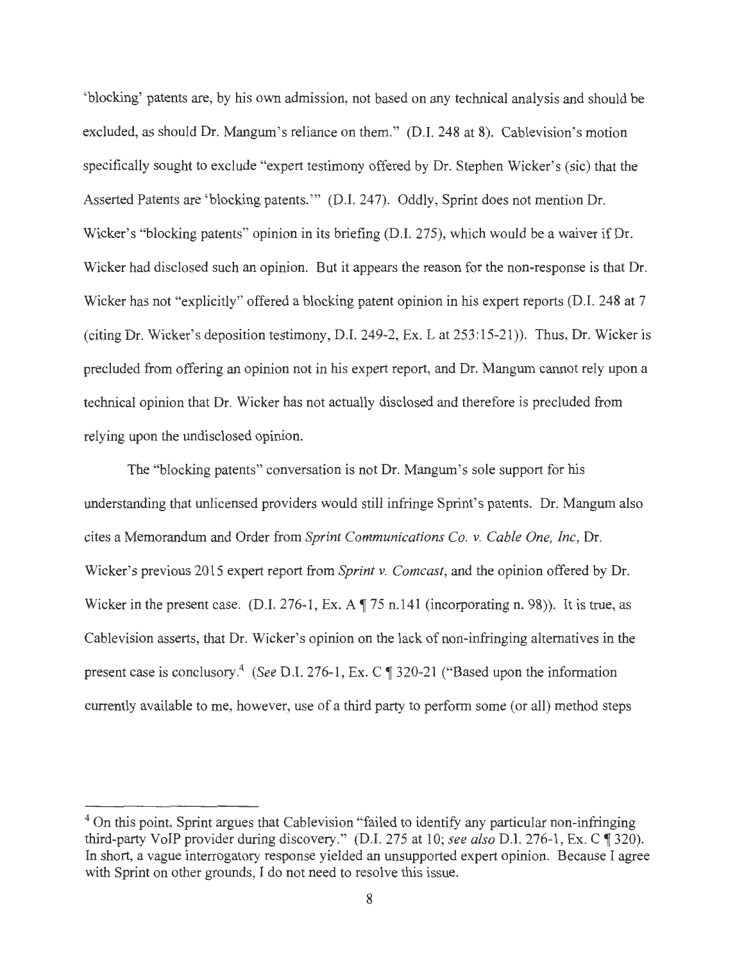'blocking' patents are, by his own admission, not based on any technical analysis and should be excluded, as should Dr. Mangum's reliance on them." (D.I. 248 at 8). Cablevision's motion specifically sought to exclude "expert testimony offered by Dr. Stephen Wicker's (sic) that the Asserted Patents are 'blocking patents."' (D.I. 247). Oddly, Sprint does not mention Dr. Wicker's "blocking patents" opinion in its briefing (D.I. 275), which would be a waiver if Dr. Wicker had disclosed such an opinion. But it appears the reason for the non-response is that Dr. Wicker has not "explicitly" offered a blocking patent opinion in his expert reports (D.I. 248 at 7 (citing Dr. Wicker's deposition testimony, D.I. 249-2, Ex. Lat 253:15-21)). Thus, Dr. Wicker is precluded from offering an opinion not in his expert report, and Dr. Mangum cannot rely upon a technical opinion that Dr. Wicker has not actually disclosed and therefore is precluded from relying upon the undisclosed opinion.

The "blocking patents" conversation is not Dr. Mangum's sole support for his understanding that unlicensed providers would still infringe Sprint's patents. Dr. Mangum also cites a Memorandum and Order from *Sprint Communications Co. v. Cable One, Inc,* Dr. Wicker's previous 2015 expert report from *Sprint v. Comcast,* and the opinion offered by Dr. Wicker in the present case. (D.I. 276-1, Ex. A  $\parallel$  75 n.141 (incorporating n. 98)). It is true, as Cablevision asserts, that Dr. Wicker's opinion on the lack of non-infringing alternatives in the present case is conclusory.<sup>4</sup> *(See D.I. 276-1, Ex. C ¶ 320-21 ("Based upon the information* currently available to me, however, use of a third party to perform some (or all) method steps

<sup>&</sup>lt;sup>4</sup> On this point, Sprint argues that Cablevision "failed to identify any particular non-infringing third-party VoIP provider during discovery." (D.I. 275 at 10; see also D.I. 276-1, Ex. C ¶ 320). In short, a vague interrogatory response yielded an unsupported expert opinion. Because I agree with Sprint on other grounds, I do not need to resolve this issue.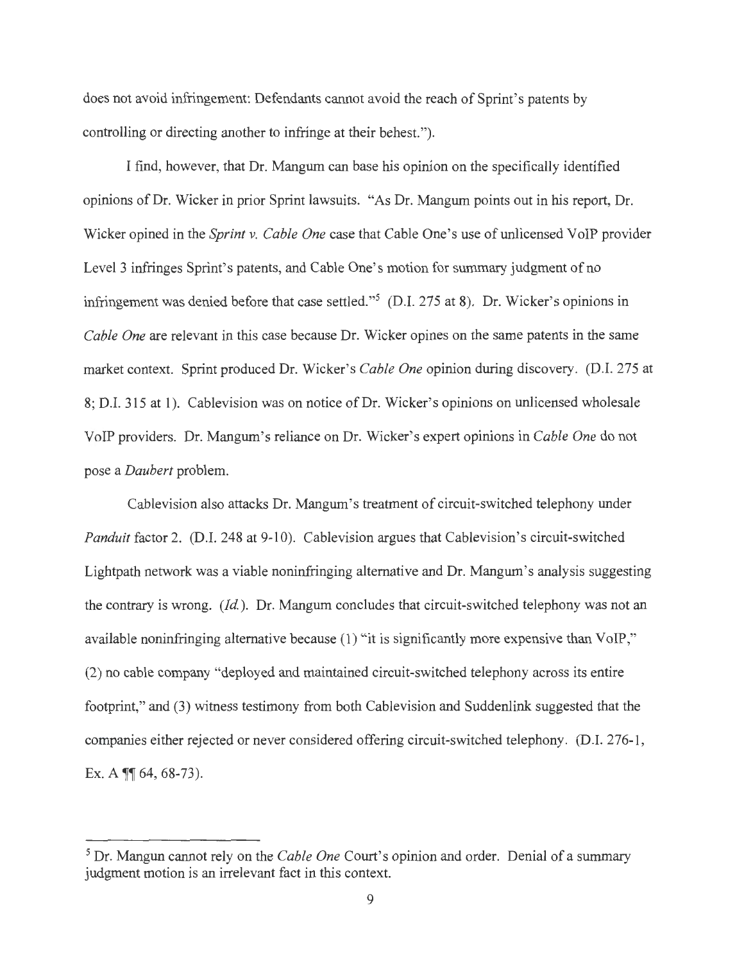does not avoid infringement: Defendants cannot avoid the reach of Sprint's patents by controlling or directing another to infringe at their behest.").

I find, however, that Dr. Mangum can base his opinion on the specifically identified opinions of Dr. Wicker in prior Sprint lawsuits. "As Dr. Mangum points out in his report, Dr. Wicker opined in the *Sprint v. Cable One* case that Cable One's use of unlicensed VoIP provider Level 3 infringes Sprint's patents, and Cable One's motion for summary judgment of no infringement was denied before that case settled."<sup>5</sup> (D.I. 275 at 8). Dr. Wicker's opinions in *Cable One* are relevant in this case because Dr. Wicker opines on the same patents in the same market context. Sprint produced Dr. Wicker's *Cable One* opinion during discovery. (D.I. 275 at 8; D.I. 315 at 1). Cablevision was on notice of Dr. Wicker's opinions on unlicensed wholesale VoIP providers. Dr. Mangum's reliance on Dr. Wicker's expert opinions in *Cable One* do not pose a *Daubert* problem.

Cablevision also attacks Dr. Mangum's treatment of circuit-switched telephony under *Panduit* factor 2. (D.I. 248 at 9-10). Cablevision argues that Cablevision's circuit-switched Lightpath network was a viable noninfringing alternative and Dr. Mangum's analysis suggesting the contrary is wrong. *(Id.).* Dr. Mangum concludes that circuit-switched telephony was not an available noninfringing alternative because (1) "it is significantly more expensive than VoIP," (2) no cable company "deployed and maintained circuit-switched telephony across its entire footprint," and (3) witness testimony from both Cablevision and Suddenlink suggested that the companies either rejected or never considered offering circuit-switched telephony. (D.I. 276-1, Ex. A *¶* 64, 68-73).

<sup>5</sup> Dr. Mangun cannot rely on the *Cable One* Court's opinion and order. Denial of a summary judgment motion is an irrelevant fact in this context.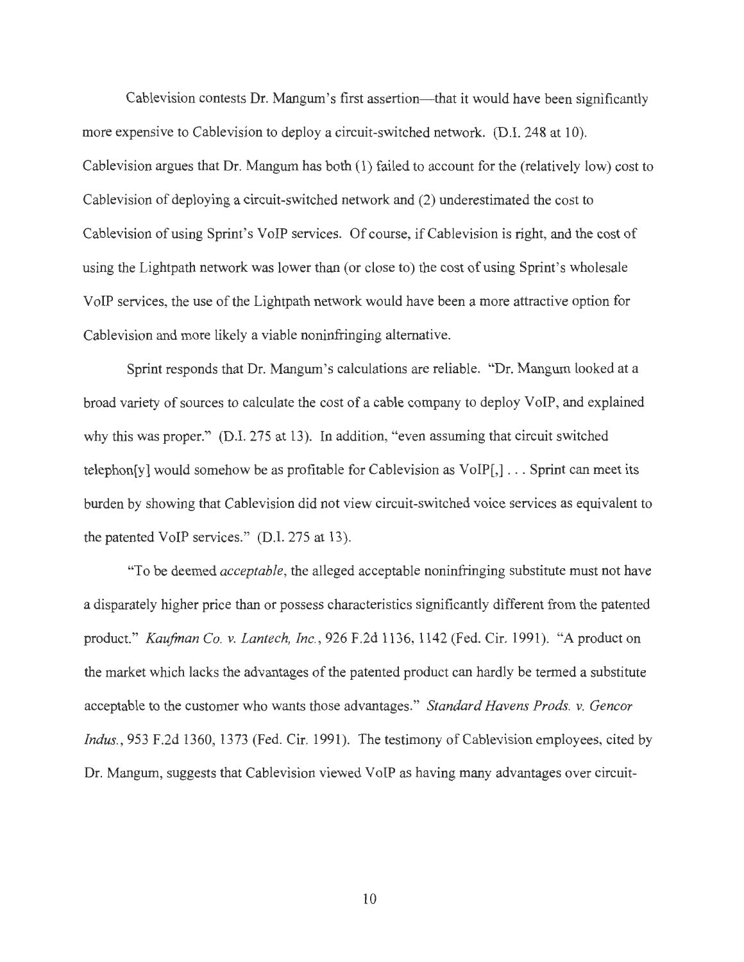Cablevision contests Dr. Mangum's first assertion—that it would have been significantly more expensive to Cablevision to deploy a circuit-switched network. (D.I. 248 at 10). Cablevision argues that Dr. Mangum has both (1) failed to account for the (relatively low) cost to Cablevision of deploying a circuit-switched network and (2) underestimated the cost to Cablevision of using Sprint's VoIP services. Of course, if Cablevision is right, and the cost of using the Lightpath network was lower than (or close to) the cost of using Sprint's wholesale VoIP services, the use of the Lightpath network would have been a more attractive option for Cablevision and more likely a viable noninfringing alternative.

Sprint responds that Dr. Mangum's calculations are reliable. "Dr. Mangum looked at a broad variety of sources to calculate the cost of a cable company to deploy VoIP, and explained why this was proper." (D.I. 275 at 13). In addition, "even assuming that circuit switched telephon[y] would somehow be as profitable for Cablevision as  $VoIP[,] \ldots$  Sprint can meet its burden by showing that Cablevision did not view circuit-switched voice services as equivalent to the patented VoIP services." (D.I. 275 at 13).

"To be deemed *acceptable,* the alleged acceptable noninfringing substitute must not have a disparately higher price than or possess characteristics significantly different from the patented product." *Kaufman Co. v. Lantech, Inc. ,* 926 F.2d 1136, 1142 (Fed. Cir. 1991). "A product on the market which lacks the advantages of the patented product can hardly be termed a substitute acceptable to the customer who wants those advantages." *Standard Havens Prods. v. Gencor Indus.,* 953 F.2d 1360, 1373 (Fed. Cir. 1991). The testimony of Cablevision employees, cited by Dr. Mangum, suggests that Cablevision viewed VoIP as having many advantages over circuit-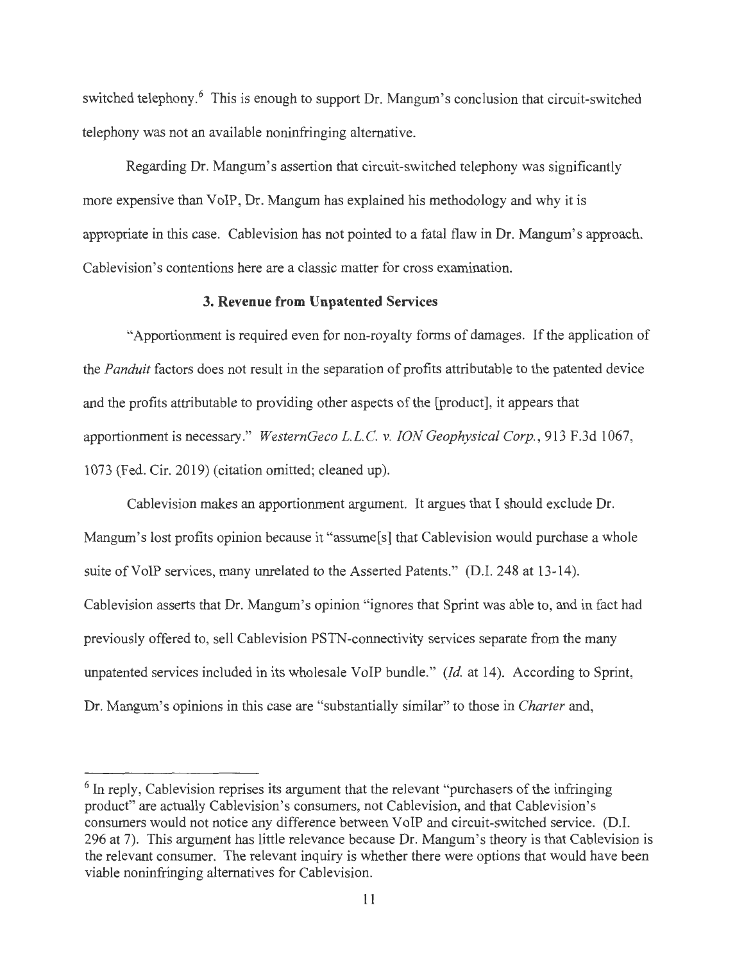switched telephony.<sup>6</sup> This is enough to support Dr. Mangum's conclusion that circuit-switched telephony was not an available noninfringing alternative.

Regarding Dr. Mangum's assertion that circuit-switched telephony was significantly more expensive than VoIP, Dr. Mangum has explained his methodology and why it is appropriate in this case. Cablevision has not pointed to a fatal flaw in Dr. Mangum's approach. Cablevision's contentions here are a classic matter for cross examination.

#### **3. Revenue from Unpatented Services**

"Apportionment is required even for non-royalty forms of damages. If the application of the *Panduit* factors does not result in the separation of profits attributable to the patented device and the profits attributable to providing other aspects of the [product], it appears that apportionment is necessary." *WesternGeco L.L.* C. *v. ION Geophysical Corp.,* 913 F .3d 1067, 1073 (Fed. Cir. 2019) (citation omitted; cleaned up).

Cablevision makes an apportionment argument. It argues that I should exclude Dr. Mangum's lost profits opinion because it "assume<sup>[s]</sup> that Cablevision would purchase a whole suite of VoIP services, many unrelated to the Asserted Patents." (D.I. 248 at 13-14). Cablevision asserts that Dr. Mangum's opinion "ignores that Sprint was able to, and in fact had previously offered to, sell Cablevision PSTN-connectivity services separate from the many unpatented services included in its wholesale VoIP bundle." *(Id.* at 14). According to Sprint, Dr. Mangum's opinions in this case are "substantially similar" to those in *Charter* and,

<sup>&</sup>lt;sup>6</sup> In reply, Cablevision reprises its argument that the relevant "purchasers of the infringing product" are actually Cablevision's consumers, not Cablevision, and that Cablevision's consumers would not notice any difference between VoIP and circuit-switched service. (D.I. 296 at 7). This argument has little relevance because Dr. Mangum's theory is that Cablevision is the relevant consumer. The relevant inquiry is whether there were options that would have been viable noninfringing alternatives for Cablevision.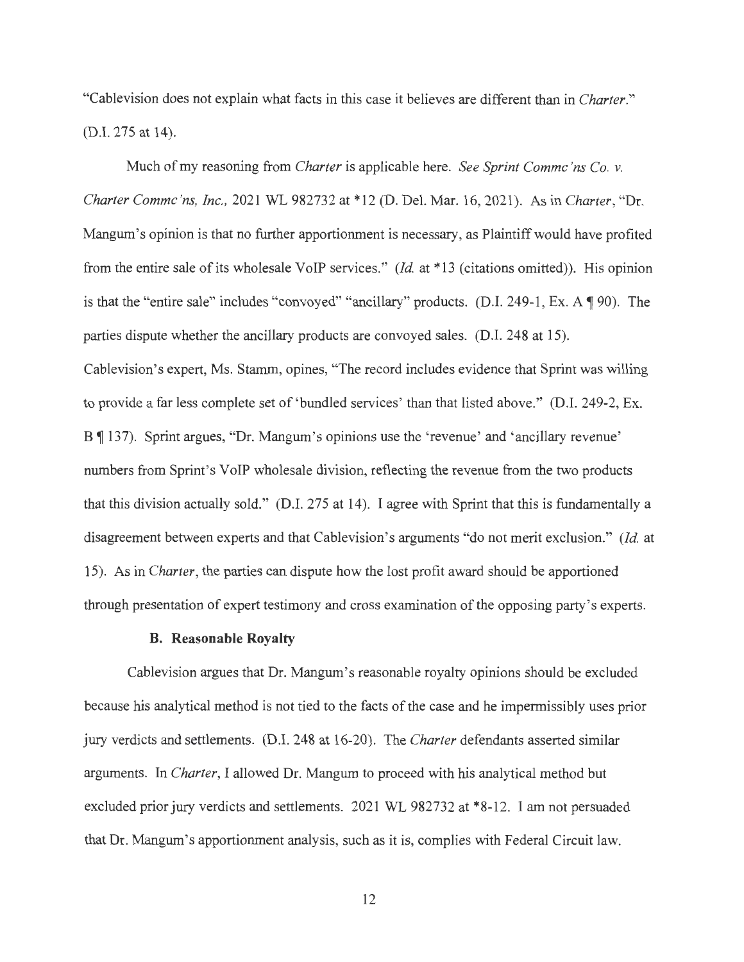"Cablevision does not explain what facts in this case it believes are different than in *Charter."*  (D.I. 275 at 14).

Much of my reasoning from *Charter* is applicable here. *See Sprint Commc 'ns Co. v. Charter Commc 'ns, Inc.,* 2021 WL 982732 at\* 12 (D. Del. Mar. 16, 2021). As in *Charter,* "Dr. Mangum's opinion is that no further apportionment is necessary, as Plaintiff would have profited from the entire sale of its wholesale VoIP services." *(Id.* at \*13 (citations omitted)). His opinion is that the "entire sale" includes "convoyed" "ancillary" products. (D.I. 249-1, Ex. A  $\P$  90). The parties dispute whether the ancillary products are convoyed sales. (D.I. 248 at 15). Cablevision's expert, Ms. Stamm, opines, "The record includes evidence that Sprint was willing to provide a far less complete set of 'bundled services' than that listed above." (D.I. 249-2, Ex. B ¶ 137). Sprint argues, "Dr. Mangum's opinions use the 'revenue' and 'ancillary revenue' numbers from Sprint's VoIP wholesale division, reflecting the revenue from the two products that this division actually sold." (D.I. 275 at 14). I agree with Sprint that this is fundamentally a disagreement between experts and that Cablevision's arguments "do not merit exclusion." *(Id.* at 15). As in *Charter,* the parties can dispute how the lost profit award should be apportioned through presentation of expert testimony and cross examination of the opposing party's experts.

### **B. Reasonable Royalty**

Cablevision argues that Dr. Mangum's reasonable royalty opinions should be excluded because his analytical method is not tied to the facts of the case and he impermissibly uses prior jury verdicts and settlements. (D.I. 248 at 16-20). The *Charter* defendants asserted similar arguments. In *Charter,* I allowed Dr. Mangum to proceed with his analytical method but excluded prior jury verdicts and settlements. 2021 WL 982732 at \*8-12. I am not persuaded that Dr. Mangum's apportionment analysis, such as it is, complies with Federal Circuit law.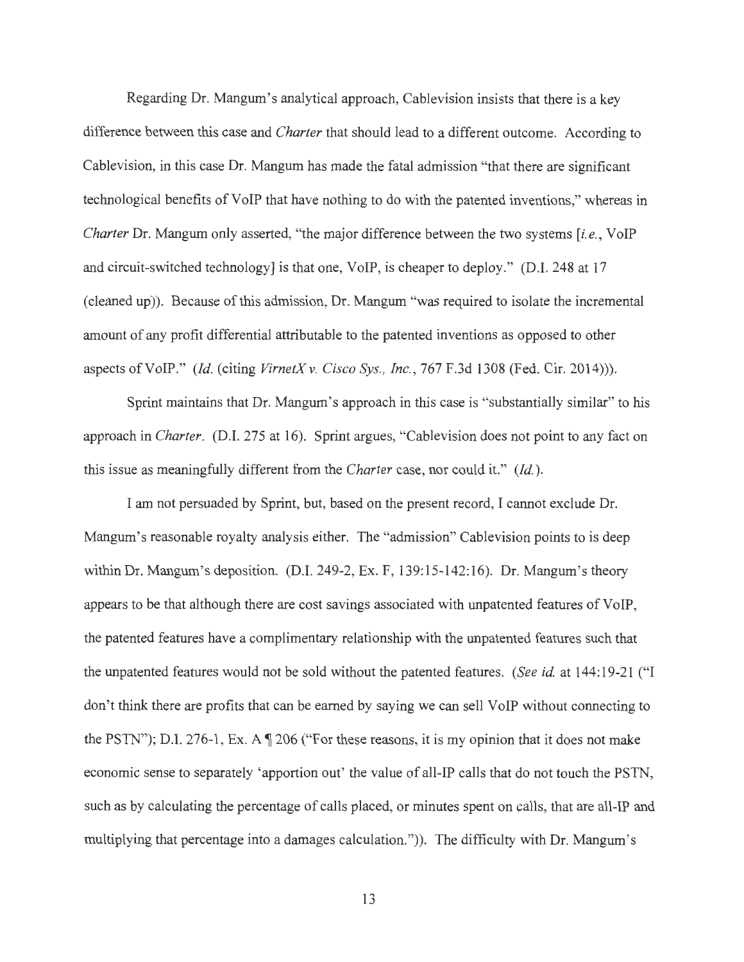Regarding Dr. Mangum's analytical approach, Cablevision insists that there is a key difference between this case and *Charter* that should lead to a different outcome. According to Cablevision, in this case Dr. Mangum has made the fatal admission "that there are significant technological benefits of VoIP that have nothing to do with the patented inventions," whereas in *Charter* Dr. Mangum only asserted, "the major difference between the two systems *[i.e.,* VoIP and circuit-switched technology] is that one, VoIP, is cheaper to deploy." (D.I. 248 at 17 (cleaned up)). Because of this admission, Dr. Mangum "was required to isolate the incremental amount of any profit differential attributable to the patented inventions as opposed to other aspects of VoIP." *(Id.* (citing *VirnetXv. Cisco Sys. , Inc.,* 767 F.3d 1308 (Fed. Cir. 2014))).

Sprint maintains that Dr. Mangum's approach in this case is "substantially similar" to his approach in *Charter.* (D.I. 275 at 16). Sprint argues, "Cablevision does not point to any fact on this issue as meaningfully different from the *Charter* case, nor could it." *(Id.).* 

I am not persuaded by Sprint, but, based on the present record, I cannot exclude Dr. Mangum's reasonable royalty analysis either. The "admission" Cablevision points to is deep within Dr. Mangum's deposition. (D.I. 249-2, Ex. F, 139:15-142:16). Dr. Mangum's theory appears to be that although there are cost savings associated with unpatented features of VoIP, the patented features have a complimentary relationship with the unpatented features such that the unpatented features would not be sold without the patented features. *(See id.* at 144:19-21 ("I don't think there are profits that can be earned by saying we can sell VoIP without connecting to the PSTN"); D.I. 276-1, Ex. A  $\P$  206 ("For these reasons, it is my opinion that it does not make economic sense to separately 'apportion out' the value of all-IP calls that do not touch the PSTN, such as by calculating the percentage of calls placed, or minutes spent on calls, that are all-IP and multiplying that percentage into a damages calculation.")). The difficulty with Dr. Mangum's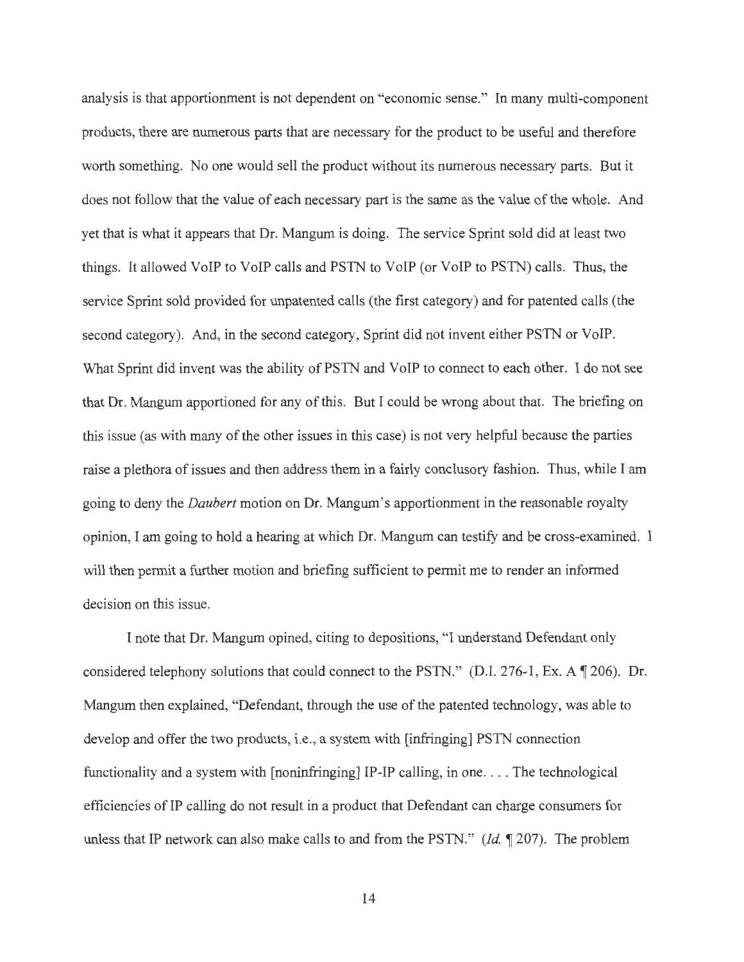analysis is that apportionment is not dependent on "economic sense." In many multi-component products, there are numerous parts that are necessary for the product to be useful and therefore worth something. No one would sell the product without its numerous necessary parts. But it does not follow that the value of each necessary part is the same as the value of the whole. And yet that is what it appears that Dr. Mangum is doing. The service Sprint sold did at least two things. It allowed VoIP to VoIP calls and PSTN to VoIP (or VoIP to PSTN) calls. Thus, the service Sprint sold provided for unpatented calls (the first category) and for patented calls (the second category). And, in the second category, Sprint did not invent either PSTN or VoIP. What Sprint did invent was the ability of PSTN and VoIP to connect to each other. I do not see that Dr. Mangum apportioned for any of this. But I could be wrong about that. The briefing on this issue ( as with many of the other issues in this case) is not very helpful because the parties raise a plethora of issues and then address them in a fairly conclusory fashion. Thus, while I am going to deny the *Daubert* motion on Dr. Mangum's apportionment in the reasonable royalty opinion, I am going to hold a hearing at which Dr. Mangum can testify and be cross-examined. I will then permit a further motion and briefing sufficient to permit me to render an informed decision on this issue.

I note that Dr. Mangum opined, citing to depositions, "I understand Defendant only considered telephony solutions that could connect to the PSTN." (D.I. 276-1, Ex. A  $\P$  206). Dr. Mangum then explained, "Defendant, through the use of the patented technology, was able to develop and offer the two products, i.e., a system with [infringing] PSTN connection functionality and a system with [noninfringing] IP-IP calling, in one... The technological efficiencies of IP calling do not result in a product that Defendant can charge consumers for unless that IP network can also make calls to and from the PSTN." *(Id.* 1207). The problem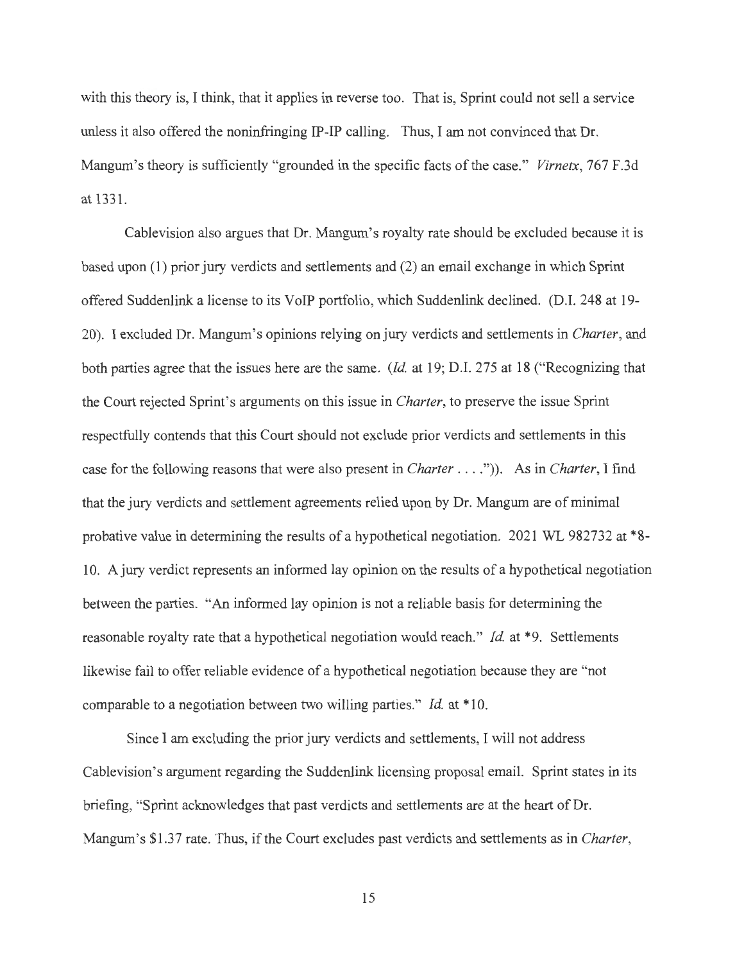with this theory is, I think, that it applies in reverse too. That is, Sprint could not sell a service unless it also offered the noninfringing IP-IP calling. Thus, I am not convinced that Dr. Mangum's theory is sufficiently "grounded in the specific facts of the case." *Virnetx,* 767 F.3d at 1331.

Cablevision also argues that Dr. Mangum's royalty rate should be excluded because it is based upon (1) prior jury verdicts and settlements and (2) an email exchange in which Sprint offered Suddenlink a license to its VoIP portfolio, which Suddenlink declined. (D.I. 248 at 19- 20). I excluded Dr. Mangum's opinions relying on jury verdicts and settlements in *Charter,* and both parties agree that the issues here are the same. *(Id* at 19; D.I. 275 at 18 ("Recognizing that the Court rejected Sprint's arguments on this issue in *Charter,* to preserve the issue Sprint respectfully contends that this Court should not exclude prior verdicts and settlements in this case for the following reasons that were also present in *Charter .* . .. ")). As in *Charter,* I find that the jury verdicts and settlement agreements relied upon by Dr. Mangum are of minimal probative value in determining the results of a hypothetical negotiation. 2021 WL 982732 at \*8-10. A jury verdict represents an informed lay opinion on the results of a hypothetical negotiation between the parties. "An informed lay opinion is not a reliable basis for determining the reasonable royalty rate that a hypothetical negotiation would reach." *Id.* at \*9. Settlements likewise fail to offer reliable evidence of a hypothetical negotiation because they are "not comparable to a negotiation between two willing parties." *Id* at \* 10.

Since I am excluding the prior jury verdicts and settlements, I will not address Cablevision's argument regarding the Suddenlink licensing proposal email. Sprint states in its briefing, "Sprint acknowledges that past verdicts and settlements are at the heart of Dr. Mangum's \$1.37 rate. Thus, if the Court excludes past verdicts and settlements as in *Charter,*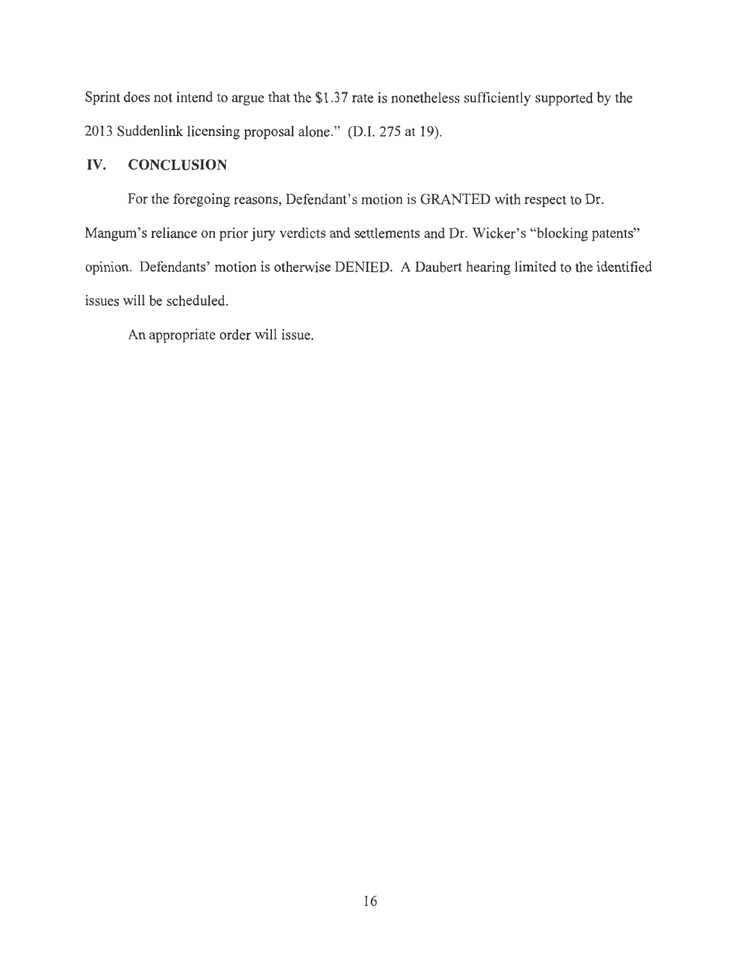Sprint does not intend to argue that the \$1.37 rate is nonetheless sufficiently supported by the 2013 Suddenlink licensing proposal alone." (D.I. 275 at 19).

## **IV. CONCLUSION**

For the foregoing reasons, Defendant's motion is GRANTED with respect to Dr. Mangum's reliance on prior jury verdicts and settlements and Dr. Wicker's "blocking patents" opinion. Defendants' motion is otherwise DENIED. A Daubert hearing limited to the identified issues will be scheduled.

An appropriate order will issue.